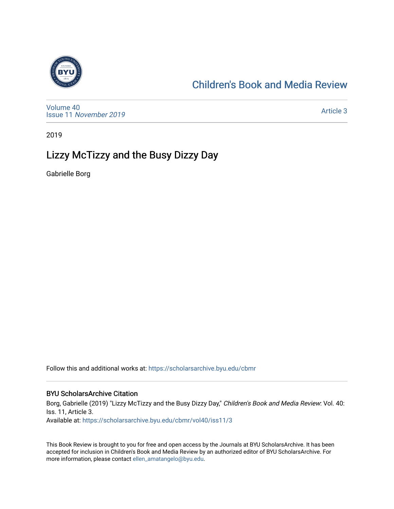

# [Children's Book and Media Review](https://scholarsarchive.byu.edu/cbmr)

[Volume 40](https://scholarsarchive.byu.edu/cbmr/vol40) Issue 11 [November 2019](https://scholarsarchive.byu.edu/cbmr/vol40/iss11) 

[Article 3](https://scholarsarchive.byu.edu/cbmr/vol40/iss11/3) 

2019

# Lizzy McTizzy and the Busy Dizzy Day

Gabrielle Borg

Follow this and additional works at: [https://scholarsarchive.byu.edu/cbmr](https://scholarsarchive.byu.edu/cbmr?utm_source=scholarsarchive.byu.edu%2Fcbmr%2Fvol40%2Fiss11%2F3&utm_medium=PDF&utm_campaign=PDFCoverPages) 

#### BYU ScholarsArchive Citation

Borg, Gabrielle (2019) "Lizzy McTizzy and the Busy Dizzy Day," Children's Book and Media Review: Vol. 40: Iss. 11, Article 3. Available at: [https://scholarsarchive.byu.edu/cbmr/vol40/iss11/3](https://scholarsarchive.byu.edu/cbmr/vol40/iss11/3?utm_source=scholarsarchive.byu.edu%2Fcbmr%2Fvol40%2Fiss11%2F3&utm_medium=PDF&utm_campaign=PDFCoverPages)

This Book Review is brought to you for free and open access by the Journals at BYU ScholarsArchive. It has been accepted for inclusion in Children's Book and Media Review by an authorized editor of BYU ScholarsArchive. For more information, please contact [ellen\\_amatangelo@byu.edu.](mailto:ellen_amatangelo@byu.edu)